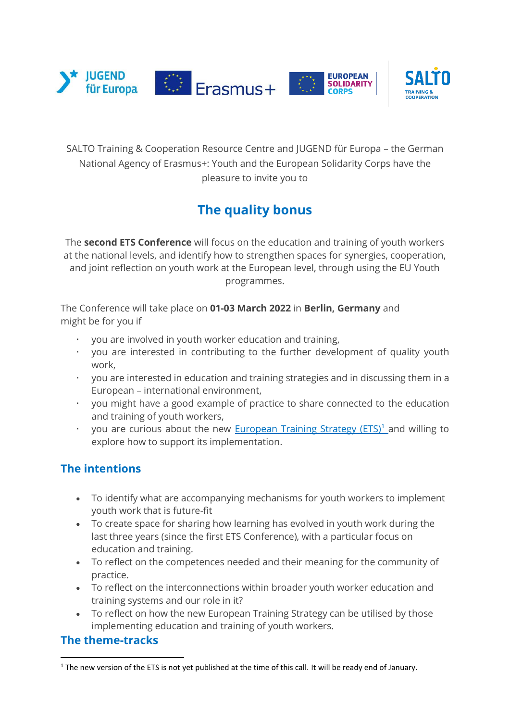

SALTO Training & Cooperation Resource Centre and JUGEND für Europa – the German National Agency of Erasmus+: Youth and the European Solidarity Corps have the pleasure to invite you to

# **The quality bonus**

The **second ETS Conference** will focus on the education and training of youth workers at the national levels, and identify how to strengthen spaces for synergies, cooperation, and joint reflection on youth work at the European level, through using the EU Youth programmes.

The Conference will take place on **01-03 March 2022** in **Berlin, Germany** and might be for you if

- you are involved in youth worker education and training,
- you are interested in contributing to the further development of quality youth work,
- you are interested in education and training strategies and in discussing them in a European – international environment,
- you might have a good example of practice to share connected to the education and training of youth workers,
- you are curious about the new [European Training Strategy \(ETS\)](https://www.salto-youth.net/rc/training-and-cooperation/trainingstrategy/)<sup>1</sup> and willing to explore how to support its implementation.

## **The intentions**

- To identify what are accompanying mechanisms for youth workers to implement youth work that is future-fit
- To create space for sharing how learning has evolved in youth work during the last three years (since the first ETS Conference), with a particular focus on education and training.
- To reflect on the competences needed and their meaning for the community of practice.
- To reflect on the interconnections within broader youth worker education and training systems and our role in it?
- To reflect on how the new European Training Strategy can be utilised by those implementing education and training of youth workers.

## **The theme-tracks**

<sup>&</sup>lt;sup>1</sup> The new version of the ETS is not yet published at the time of this call. It will be ready end of January.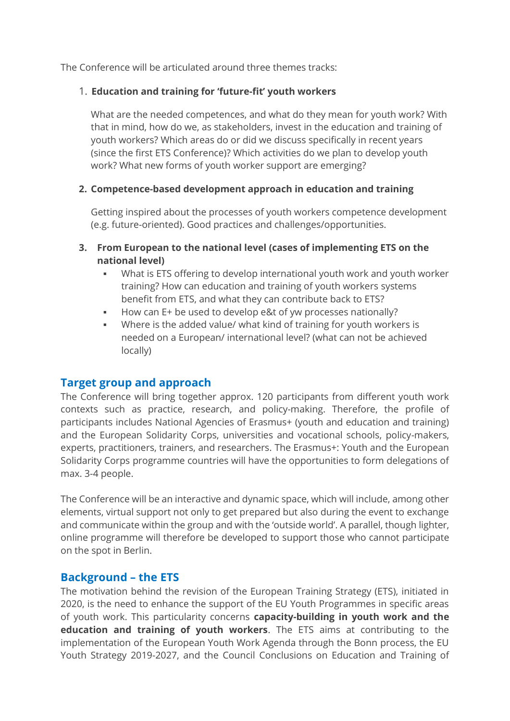The Conference will be articulated around three themes tracks:

#### 1. **Education and training for 'future-fit' youth workers**

What are the needed competences, and what do they mean for youth work? With that in mind, how do we, as stakeholders, invest in the education and training of youth workers? Which areas do or did we discuss specifically in recent years (since the first ETS Conference)? Which activities do we plan to develop youth work? What new forms of youth worker support are emerging?

### **2. Competence-based development approach in education and training**

Getting inspired about the processes of youth workers competence development (e.g. future-oriented). Good practices and challenges/opportunities.

- **3. From European to the national level (cases of implementing ETS on the national level)**
	- What is ETS offering to develop international youth work and youth worker training? How can education and training of youth workers systems benefit from ETS, and what they can contribute back to ETS?
	- How can E+ be used to develop e&t of yw processes nationally?
	- Where is the added value/ what kind of training for youth workers is needed on a European/ international level? (what can not be achieved locally)

## **Target group and approach**

The Conference will bring together approx. 120 participants from different youth work contexts such as practice, research, and policy-making. Therefore, the profile of participants includes National Agencies of Erasmus+ (youth and education and training) and the European Solidarity Corps, universities and vocational schools, policy-makers, experts, practitioners, trainers, and researchers. The Erasmus+: Youth and the European Solidarity Corps programme countries will have the opportunities to form delegations of max. 3-4 people.

The Conference will be an interactive and dynamic space, which will include, among other elements, virtual support not only to get prepared but also during the event to exchange and communicate within the group and with the 'outside world'. A parallel, though lighter, online programme will therefore be developed to support those who cannot participate on the spot in Berlin.

## **Background – the ETS**

The motivation behind the revision of the European Training Strategy (ETS), initiated in 2020, is the need to enhance the support of the EU Youth Programmes in specific areas of youth work. This particularity concerns **capacity-building in youth work and the education and training of youth workers**. The ETS aims at contributing to the implementation of the European Youth Work Agenda through the Bonn process, the EU Youth Strategy 2019-2027, and the Council Conclusions on Education and Training of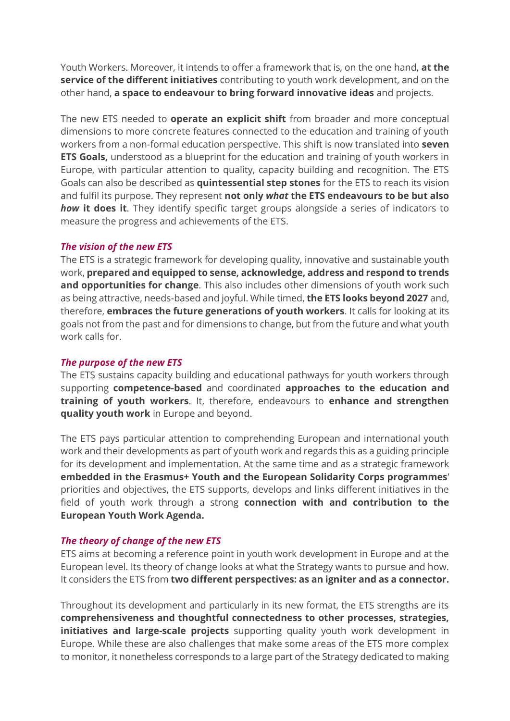Youth Workers. Moreover, it intends to offer a framework that is, on the one hand, **at the service of the different initiatives** contributing to youth work development, and on the other hand, **a space to endeavour to bring forward innovative ideas** and projects.

The new ETS needed to **operate an explicit shift** from broader and more conceptual dimensions to more concrete features connected to the education and training of youth workers from a non-formal education perspective. This shift is now translated into **seven ETS Goals,** understood as a blueprint for the education and training of youth workers in Europe, with particular attention to quality, capacity building and recognition. The ETS Goals can also be described as **quintessential step stones** for the ETS to reach its vision and fulfil its purpose. They represent **not only** *what* **the ETS endeavours to be but also**  *how* **it does it**. They identify specific target groups alongside a series of indicators to measure the progress and achievements of the ETS.

#### *The vision of the new ETS*

The ETS is a strategic framework for developing quality, innovative and sustainable youth work, **prepared and equipped to sense, acknowledge, address and respond to trends and opportunities for change**. This also includes other dimensions of youth work such as being attractive, needs-based and joyful. While timed, **the ETS looks beyond 2027** and, therefore, **embraces the future generations of youth workers**. It calls for looking at its goals not from the past and for dimensions to change, but from the future and what youth work calls for.

#### *The purpose of the new ETS*

The ETS sustains capacity building and educational pathways for youth workers through supporting **competence-based** and coordinated **approaches to the education and training of youth workers**. It, therefore, endeavours to **enhance and strengthen quality youth work** in Europe and beyond.

The ETS pays particular attention to comprehending European and international youth work and their developments as part of youth work and regards this as a guiding principle for its development and implementation. At the same time and as a strategic framework **embedded in the Erasmus+ Youth and the European Solidarity Corps programmes**' priorities and objectives, the ETS supports, develops and links different initiatives in the field of youth work through a strong **connection with and contribution to the European Youth Work Agenda.**

### *The theory of change of the new ETS*

ETS aims at becoming a reference point in youth work development in Europe and at the European level. Its theory of change looks at what the Strategy wants to pursue and how. It considers the ETS from **two different perspectives: as an igniter and as a connector.**

Throughout its development and particularly in its new format, the ETS strengths are its **comprehensiveness and thoughtful connectedness to other processes, strategies, initiatives and large-scale projects** supporting quality youth work development in Europe. While these are also challenges that make some areas of the ETS more complex to monitor, it nonetheless corresponds to a large part of the Strategy dedicated to making